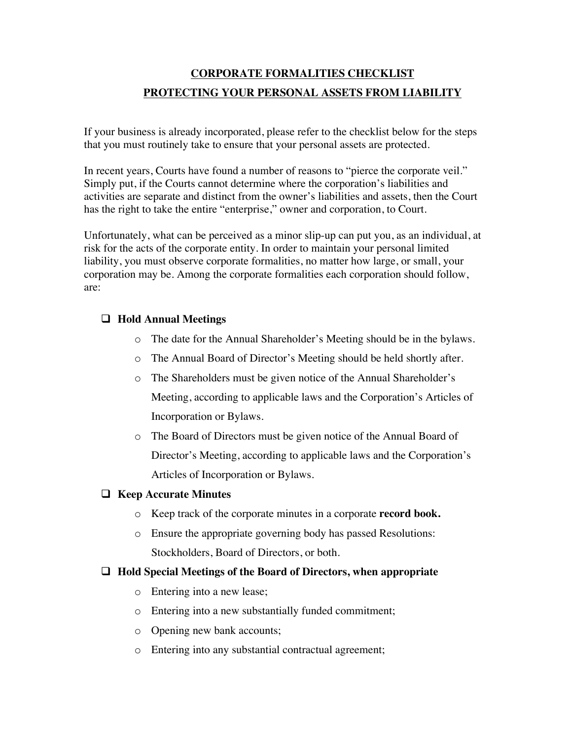# **CORPORATE FORMALITIES CHECKLIST PROTECTING YOUR PERSONAL ASSETS FROM LIABILITY**

If your business is already incorporated, please refer to the checklist below for the steps that you must routinely take to ensure that your personal assets are protected.

In recent years, Courts have found a number of reasons to "pierce the corporate veil." Simply put, if the Courts cannot determine where the corporation's liabilities and activities are separate and distinct from the owner's liabilities and assets, then the Court has the right to take the entire "enterprise," owner and corporation, to Court.

Unfortunately, what can be perceived as a minor slip-up can put you, as an individual, at risk for the acts of the corporate entity. In order to maintain your personal limited liability, you must observe corporate formalities, no matter how large, or small, your corporation may be. Among the corporate formalities each corporation should follow, are:

## **Hold Annual Meetings**

- o The date for the Annual Shareholder's Meeting should be in the bylaws.
- o The Annual Board of Director's Meeting should be held shortly after.
- o The Shareholders must be given notice of the Annual Shareholder's Meeting, according to applicable laws and the Corporation's Articles of Incorporation or Bylaws.
- o The Board of Directors must be given notice of the Annual Board of Director's Meeting, according to applicable laws and the Corporation's Articles of Incorporation or Bylaws.

#### **Keep Accurate Minutes**

- o Keep track of the corporate minutes in a corporate **record book.**
- o Ensure the appropriate governing body has passed Resolutions: Stockholders, Board of Directors, or both.
- **Hold Special Meetings of the Board of Directors, when appropriate**
	- o Entering into a new lease;
	- o Entering into a new substantially funded commitment;
	- o Opening new bank accounts;
	- o Entering into any substantial contractual agreement;